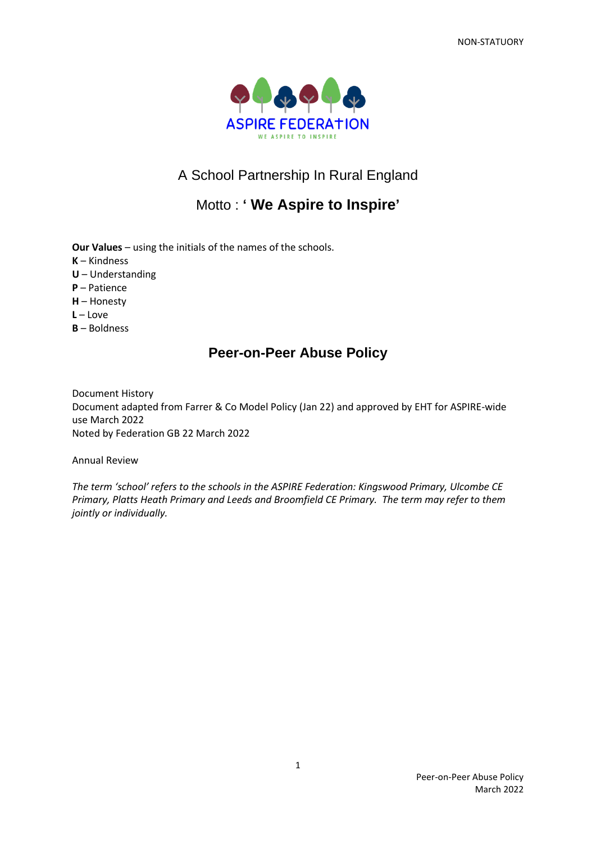

# A School Partnership In Rural England

# Motto : **' We Aspire to Inspire'**

**Our Values** – using the initials of the names of the schools.

- **K** Kindness
- **U** Understanding
- **P** Patience
- **H** Honesty
- **L** Love
- **B** Boldness

# **Peer-on-Peer Abuse Policy**

Document History Document adapted from Farrer & Co Model Policy (Jan 22) and approved by EHT for ASPIRE-wide use March 2022 Noted by Federation GB 22 March 2022

Annual Review

*The term 'school' refers to the schools in the ASPIRE Federation: Kingswood Primary, Ulcombe CE Primary, Platts Heath Primary and Leeds and Broomfield CE Primary. The term may refer to them jointly or individually.*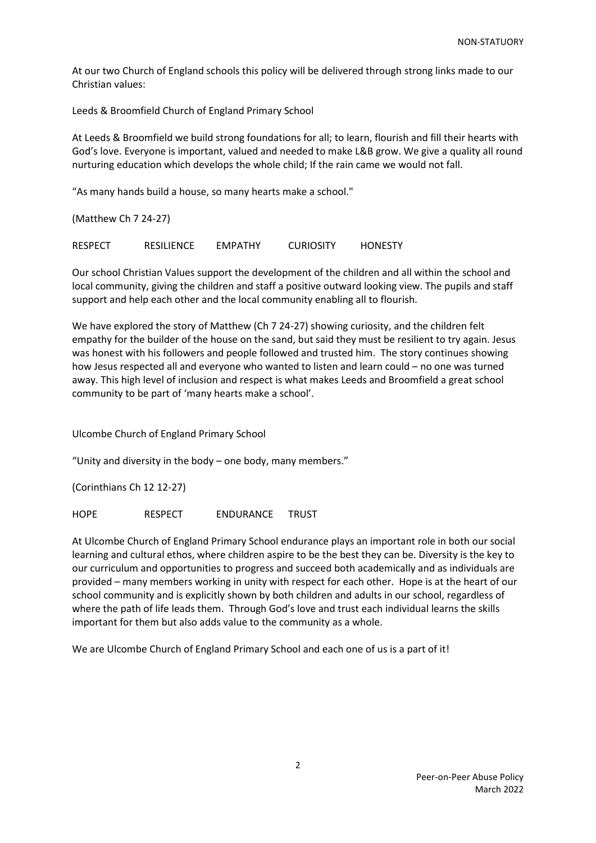At our two Church of England schools this policy will be delivered through strong links made to our Christian values:

Leeds & Broomfield Church of England Primary School

At Leeds & Broomfield we build strong foundations for all; to learn, flourish and fill their hearts with God's love. Everyone is important, valued and needed to make L&B grow. We give a quality all round nurturing education which develops the whole child; If the rain came we would not fall.

"As many hands build a house, so many hearts make a school."

(Matthew Ch 7 24-27)

RESPECT RESILIENCE EMPATHY CURIOSITY HONESTY

Our school Christian Values support the development of the children and all within the school and local community, giving the children and staff a positive outward looking view. The pupils and staff support and help each other and the local community enabling all to flourish.

We have explored the story of Matthew (Ch 7 24-27) showing curiosity, and the children felt empathy for the builder of the house on the sand, but said they must be resilient to try again. Jesus was honest with his followers and people followed and trusted him. The story continues showing how Jesus respected all and everyone who wanted to listen and learn could – no one was turned away. This high level of inclusion and respect is what makes Leeds and Broomfield a great school community to be part of 'many hearts make a school'.

Ulcombe Church of England Primary School

"Unity and diversity in the body – one body, many members."

(Corinthians Ch 12 12-27)

HOPE RESPECT ENDURANCE TRUST

At Ulcombe Church of England Primary School endurance plays an important role in both our social learning and cultural ethos, where children aspire to be the best they can be. Diversity is the key to our curriculum and opportunities to progress and succeed both academically and as individuals are provided – many members working in unity with respect for each other. Hope is at the heart of our school community and is explicitly shown by both children and adults in our school, regardless of where the path of life leads them. Through God's love and trust each individual learns the skills important for them but also adds value to the community as a whole.

We are Ulcombe Church of England Primary School and each one of us is a part of it!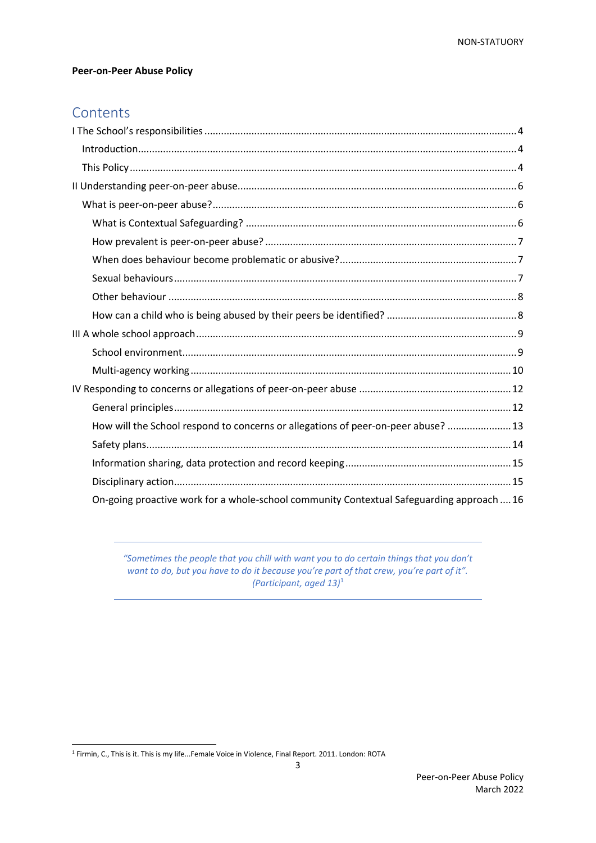### **Peer-on-Peer Abuse Policy**

# **Contents**

| How will the School respond to concerns or allegations of peer-on-peer abuse?  13         |
|-------------------------------------------------------------------------------------------|
|                                                                                           |
|                                                                                           |
|                                                                                           |
| On-going proactive work for a whole-school community Contextual Safeguarding approach  16 |

<span id="page-2-0"></span>*"Sometimes the people that you chill with want you to do certain things that you don't want to do, but you have to do it because you're part of that crew, you're part of it". (Participant, aged 13)*<sup>1</sup>

<sup>1</sup> Firmin, C., This is it. This is my life...Female Voice in Violence, Final Report. 2011. London: ROTA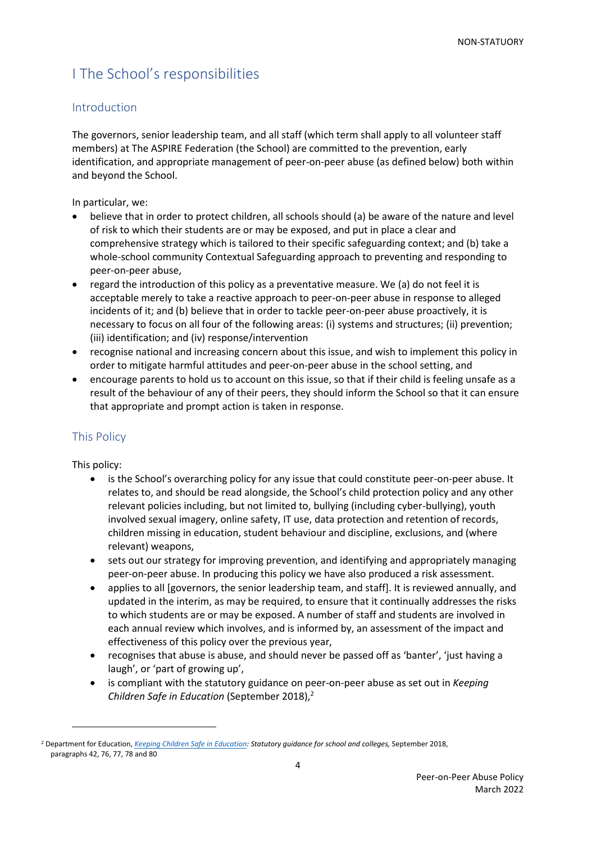# I The School's responsibilities

### <span id="page-3-0"></span>Introduction

The governors, senior leadership team, and all staff (which term shall apply to all volunteer staff members) at The ASPIRE Federation (the School) are committed to the prevention, early identification, and appropriate management of peer-on-peer abuse (as defined below) both within and beyond the School.

In particular, we:

- believe that in order to protect children, all schools should (a) be aware of the nature and level of risk to which their students are or may be exposed, and put in place a clear and comprehensive strategy which is tailored to their specific safeguarding context; and (b) take a whole-school community Contextual Safeguarding approach to preventing and responding to peer-on-peer abuse,
- regard the introduction of this policy as a preventative measure. We (a) do not feel it is acceptable merely to take a reactive approach to peer-on-peer abuse in response to alleged incidents of it; and (b) believe that in order to tackle peer-on-peer abuse proactively, it is necessary to focus on all four of the following areas: (i) systems and structures; (ii) prevention; (iii) identification; and (iv) response/intervention
- recognise national and increasing concern about this issue, and wish to implement this policy in order to mitigate harmful attitudes and peer-on-peer abuse in the school setting, and
- encourage parents to hold us to account on this issue, so that if their child is feeling unsafe as a result of the behaviour of any of their peers, they should inform the School so that it can ensure that appropriate and prompt action is taken in response.

### <span id="page-3-1"></span>This Policy

This policy:

- is the School's overarching policy for any issue that could constitute peer-on-peer abuse. It relates to, and should be read alongside, the School's child protection policy and any other relevant policies including, but not limited to, bullying (including cyber-bullying), youth involved sexual imagery, online safety, IT use, data protection and retention of records, children missing in education, student behaviour and discipline, exclusions, and (where relevant) weapons,
- sets out our strategy for improving prevention, and identifying and appropriately managing peer-on-peer abuse. In producing this policy we have also produced a risk assessment.
- applies to all [governors, the senior leadership team, and staff]. It is reviewed annually, and updated in the interim, as may be required, to ensure that it continually addresses the risks to which students are or may be exposed. A number of staff and students are involved in each annual review which involves, and is informed by, an assessment of the impact and effectiveness of this policy over the previous year,
- recognises that abuse is abuse, and should never be passed off as 'banter', 'just having a laugh', or 'part of growing up',
- is compliant with the statutory guidance on peer-on-peer abuse as set out in *Keeping Children Safe in Education* (September 2018),<sup>2</sup>

<sup>2</sup> Department for Education, *[Keeping Children Safe in Education:](https://assets.publishing.service.gov.uk/government/uploads/system/uploads/attachment_data/%20file/741314/Keeping_Children_Safe_in_Education__3_September_2018_14.09.18.pdf) Statutory guidance for school and colleges,* September 2018, paragraphs 42, 76, 77, 78 and 80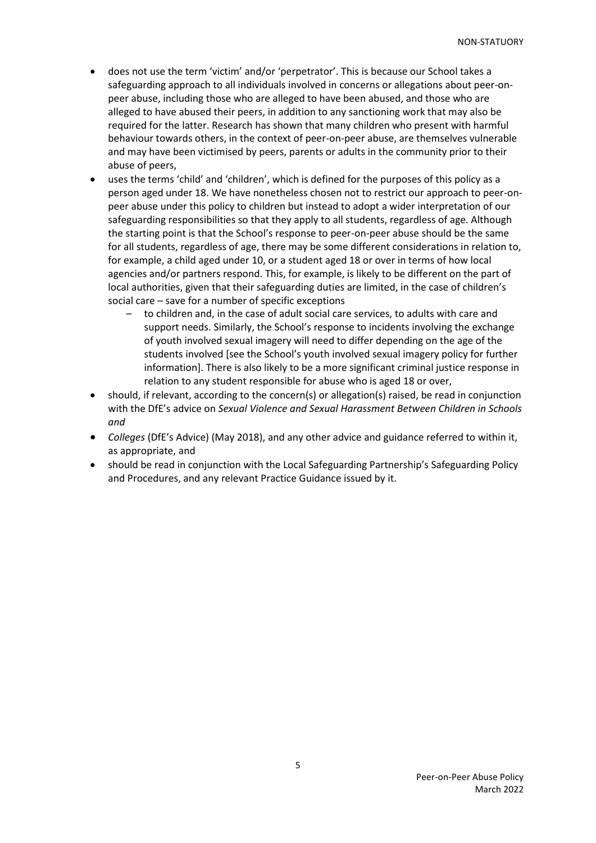- does not use the term 'victim' and/or 'perpetrator'. This is because our School takes a safeguarding approach to all individuals involved in concerns or allegations about peer-onpeer abuse, including those who are alleged to have been abused, and those who are alleged to have abused their peers, in addition to any sanctioning work that may also be required for the latter. Research has shown that many children who present with harmful behaviour towards others, in the context of peer-on-peer abuse, are themselves vulnerable and may have been victimised by peers, parents or adults in the community prior to their abuse of peers,
- uses the terms 'child' and 'children', which is defined for the purposes of this policy as a person aged under 18. We have nonetheless chosen not to restrict our approach to peer-onpeer abuse under this policy to children but instead to adopt a wider interpretation of our safeguarding responsibilities so that they apply to all students, regardless of age. Although the starting point is that the School's response to peer-on-peer abuse should be the same for all students, regardless of age, there may be some different considerations in relation to, for example, a child aged under 10, or a student aged 18 or over in terms of how local agencies and/or partners respond. This, for example, is likely to be different on the part of local authorities, given that their safeguarding duties are limited, in the case of children's social care – save for a number of specific exceptions
	- to children and, in the case of adult social care services, to adults with care and support needs. Similarly, the School's response to incidents involving the exchange of youth involved sexual imagery will need to differ depending on the age of the students involved [see the School's youth involved sexual imagery policy for further information]. There is also likely to be a more significant criminal justice response in relation to any student responsible for abuse who is aged 18 or over,
- should, if relevant, according to the concern(s) or allegation(s) raised, be read in conjunction with the DfE's advice on *Sexual Violence and Sexual Harassment Between Children in Schools and*
- *Colleges* (DfE's Advice) (May 2018), and any other advice and guidance referred to within it, as appropriate, and
- should be read in conjunction with the Local Safeguarding Partnership's Safeguarding Policy and Procedures, and any relevant Practice Guidance issued by it.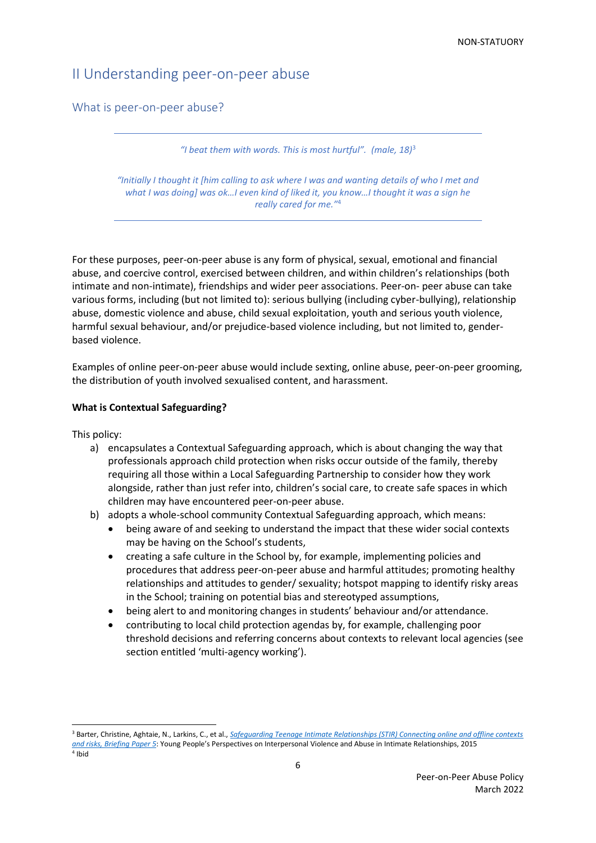# <span id="page-5-0"></span>II Understanding peer-on-peer abuse

<span id="page-5-1"></span>What is peer-on-peer abuse?

*"I beat them with words. This is most hurtful". (male, 18)*<sup>3</sup>

*"Initially I thought it [him calling to ask where I was and wanting details of who I met and what I was doing] was ok…I even kind of liked it, you know…I thought it was a sign he really cared for me."*<sup>4</sup>

For these purposes, peer-on-peer abuse is any form of physical, sexual, emotional and financial abuse, and coercive control, exercised between children, and within children's relationships (both intimate and non-intimate), friendships and wider peer associations. Peer-on- peer abuse can take various forms, including (but not limited to): serious bullying (including cyber-bullying), relationship abuse, domestic violence and abuse, child sexual exploitation, youth and serious youth violence, harmful sexual behaviour, and/or prejudice-based violence including, but not limited to, genderbased violence.

Examples of online peer-on-peer abuse would include sexting, online abuse, peer-on-peer grooming, the distribution of youth involved sexualised content, and harassment.

#### <span id="page-5-2"></span>**What is Contextual Safeguarding?**

This policy:

- a) encapsulates a Contextual Safeguarding approach, which is about changing the way that professionals approach child protection when risks occur outside of the family, thereby requiring all those within a Local Safeguarding Partnership to consider how they work alongside, rather than just refer into, children's social care, to create safe spaces in which children may have encountered peer-on-peer abuse.
- b) adopts a whole-school community Contextual Safeguarding approach, which means:
	- being aware of and seeking to understand the impact that these wider social contexts may be having on the School's students,
	- creating a safe culture in the School by, for example, implementing policies and procedures that address peer-on-peer abuse and harmful attitudes; promoting healthy relationships and attitudes to gender/ sexuality; hotspot mapping to identify risky areas in the School; training on potential bias and stereotyped assumptions,
	- being alert to and monitoring changes in students' behaviour and/or attendance.
	- contributing to local child protection agendas by, for example, challenging poor threshold decisions and referring concerns about contexts to relevant local agencies (see section entitled 'multi-agency working').

<span id="page-5-3"></span><sup>3</sup> Barter, Christine, Aghtaie, N., Larkins, C., et al., *[Safeguarding Teenage Intimate Relationships \(STIR\) Connecting online and offline contexts](https://www.safenet.bg/images/sampledata/files/STIR-Briefing-paper-5-English-Final.pdf)  [and risks, Briefing Paper 5](https://www.safenet.bg/images/sampledata/files/STIR-Briefing-paper-5-English-Final.pdf)*: Young People's Perspectives on Interpersonal Violence and Abuse in Intimate Relationships, 2015 4 Ibid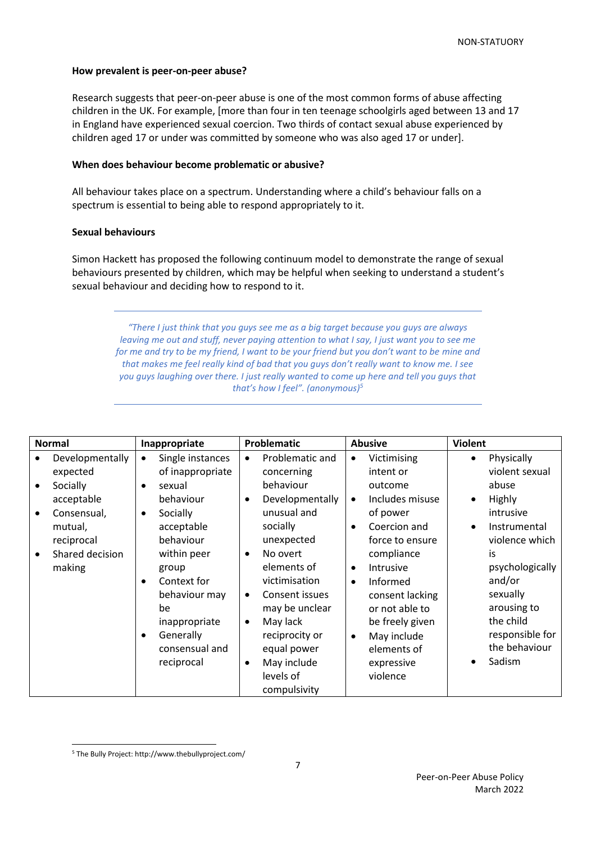### **How prevalent is peer-on-peer abuse?**

Research suggests that peer-on-peer abuse is one of the most common forms of abuse affecting children in the UK. For example, [more than four in ten teenage schoolgirls aged between 13 and 17 in England have experienced sexual coercion. Two thirds of contact sexual abuse experienced by children aged 17 or under was committed by someone who was also aged 17 or under].

### <span id="page-6-0"></span>**When does behaviour become problematic or abusive?**

All behaviour takes place on a spectrum. Understanding where a child's behaviour falls on a spectrum is essential to being able to respond appropriately to it.

### <span id="page-6-1"></span>**Sexual behaviours**

Simon Hackett has proposed the following continuum model to demonstrate the range of sexual behaviours presented by children, which may be helpful when seeking to understand a student's sexual behaviour and deciding how to respond to it.

*"There I just think that you guys see me as a big target because you guys are always leaving me out and stuff, never paying attention to what I say, I just want you to see me for me and try to be my friend, I want to be your friend but you don't want to be mine and that makes me feel really kind of bad that you guys don't really want to know me. I see you guys laughing over there. I just really wanted to come up here and tell you guys that that's how I feel". (anonymous) 5*

| <b>Normal</b> |                 | Inappropriate            | <b>Problematic</b> |                 | <b>Abusive</b> |                 | <b>Violent</b> |                 |
|---------------|-----------------|--------------------------|--------------------|-----------------|----------------|-----------------|----------------|-----------------|
|               | Developmentally | Single instances         | $\bullet$          | Problematic and | $\bullet$      | Victimising     | $\bullet$      | Physically      |
|               | expected        | of inappropriate         |                    | concerning      |                | intent or       |                | violent sexual  |
|               | Socially        | sexual<br>٠              |                    | behaviour       |                | outcome         |                | abuse           |
|               | acceptable      | behaviour                | $\bullet$          | Developmentally | $\bullet$      | Includes misuse |                | <b>Highly</b>   |
|               | Consensual,     | Socially<br>$\bullet$    |                    | unusual and     |                | of power        |                | intrusive       |
|               | mutual,         | acceptable               |                    | socially        | $\bullet$      | Coercion and    |                | Instrumental    |
|               | reciprocal      | behaviour                |                    | unexpected      |                | force to ensure |                | violence which  |
|               | Shared decision | within peer              | $\bullet$          | No overt        |                | compliance      |                | is              |
|               | making          | group                    |                    | elements of     | $\bullet$      | Intrusive       |                | psychologically |
|               |                 | Context for<br>$\bullet$ |                    | victimisation   | $\bullet$      | Informed        |                | and/or          |
|               |                 | behaviour may            | $\bullet$          | Consent issues  |                | consent lacking |                | sexually        |
|               |                 | be                       |                    | may be unclear  |                | or not able to  |                | arousing to     |
|               |                 | inappropriate            | $\bullet$          | May lack        |                | be freely given |                | the child       |
|               |                 | Generally<br>$\bullet$   |                    | reciprocity or  | $\bullet$      | May include     |                | responsible for |
|               |                 | consensual and           |                    | equal power     |                | elements of     |                | the behaviour   |
|               |                 | reciprocal               | $\bullet$          | May include     |                | expressive      |                | Sadism          |
|               |                 |                          |                    | levels of       |                | violence        |                |                 |
|               |                 |                          |                    | compulsivity    |                |                 |                |                 |

<sup>5</sup> The Bully Project: http://www.thebullyproject.com/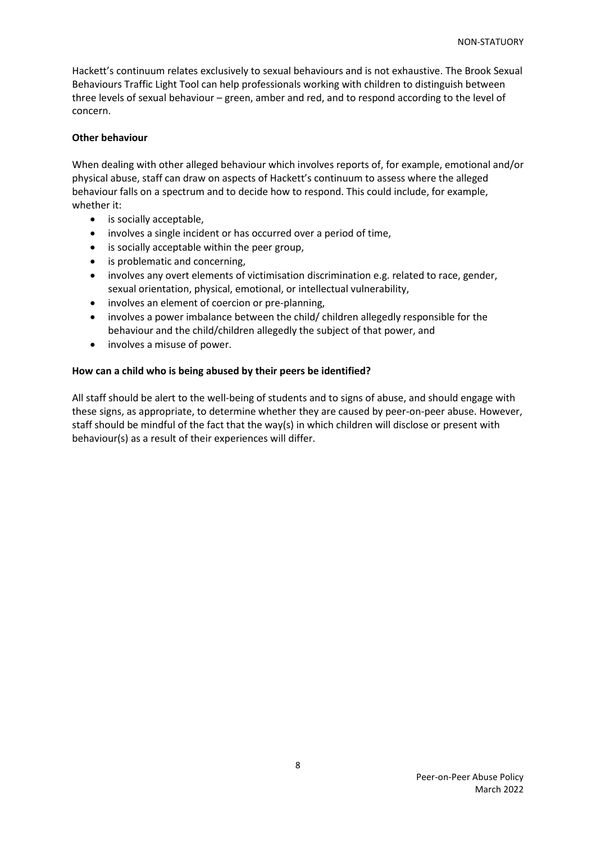Hackett's continuum relates exclusively to sexual behaviours and is not exhaustive. The Brook Sexual Behaviours Traffic Light Tool can help professionals working with children to distinguish between three levels of sexual behaviour – green, amber and red, and to respond according to the level of concern.

### <span id="page-7-0"></span>**Other behaviour**

When dealing with other alleged behaviour which involves reports of, for example, emotional and/or physical abuse, staff can draw on aspects of Hackett's continuum to assess where the alleged behaviour falls on a spectrum and to decide how to respond. This could include, for example, whether it:

- is socially acceptable,
- involves a single incident or has occurred over a period of time,
- is socially acceptable within the peer group,
- is problematic and concerning,
- involves any overt elements of victimisation discrimination e.g. related to race, gender, sexual orientation, physical, emotional, or intellectual vulnerability,
- involves an element of coercion or pre-planning,
- involves a power imbalance between the child/ children allegedly responsible for the behaviour and the child/children allegedly the subject of that power, and
- involves a misuse of power.

### <span id="page-7-1"></span>**How can a child who is being abused by their peers be identified?**

<span id="page-7-2"></span>All staff should be alert to the well-being of students and to signs of abuse, and should engage with these signs, as appropriate, to determine whether they are caused by peer-on-peer abuse. However, staff should be mindful of the fact that the way(s) in which children will disclose or present with behaviour(s) as a result of their experiences will differ.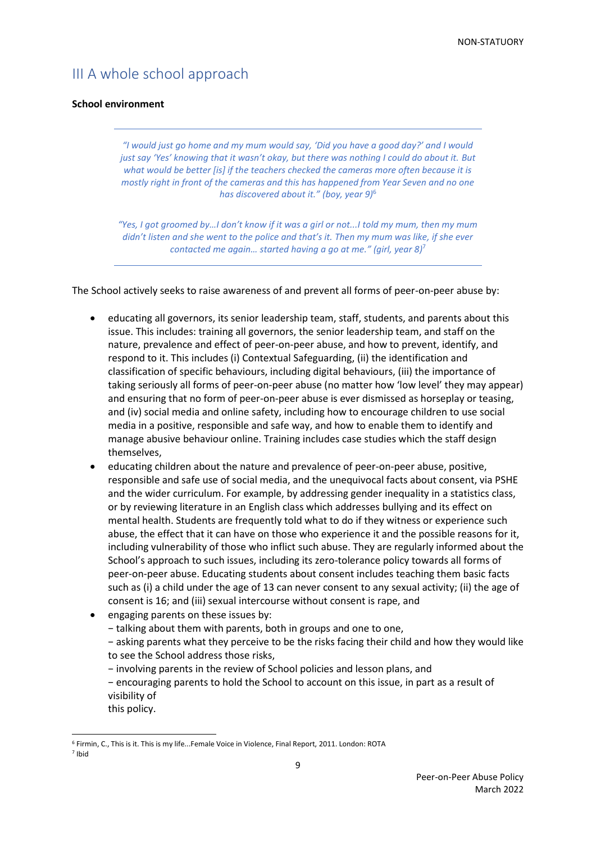# III A whole school approach

### <span id="page-8-0"></span>**School environment**

*"I would just go home and my mum would say, 'Did you have a good day?' and I would*  just say 'Yes' knowing that it wasn't okay, but there was nothing I could do about it. But *what would be better [is] if the teachers checked the cameras more often because it is mostly right in front of the cameras and this has happened from Year Seven and no one has discovered about it." (boy, year 9)*<sup>6</sup>

*"Yes, I got groomed by…I don't know if it was a girl or not...I told my mum, then my mum didn't listen and she went to the police and that's it. Then my mum was like, if she ever contacted me again… started having a go at me." (girl, year 8)* 7

The School actively seeks to raise awareness of and prevent all forms of peer-on-peer abuse by:

- educating all governors, its senior leadership team, staff, students, and parents about this issue. This includes: training all governors, the senior leadership team, and staff on the nature, prevalence and effect of peer-on-peer abuse, and how to prevent, identify, and respond to it. This includes (i) Contextual Safeguarding, (ii) the identification and classification of specific behaviours, including digital behaviours, (iii) the importance of taking seriously all forms of peer-on-peer abuse (no matter how 'low level' they may appear) and ensuring that no form of peer-on-peer abuse is ever dismissed as horseplay or teasing, and (iv) social media and online safety, including how to encourage children to use social media in a positive, responsible and safe way, and how to enable them to identify and manage abusive behaviour online. Training includes case studies which the staff design themselves,
- educating children about the nature and prevalence of peer-on-peer abuse, positive, responsible and safe use of social media, and the unequivocal facts about consent, via PSHE and the wider curriculum. For example, by addressing gender inequality in a statistics class, or by reviewing literature in an English class which addresses bullying and its effect on mental health. Students are frequently told what to do if they witness or experience such abuse, the effect that it can have on those who experience it and the possible reasons for it, including vulnerability of those who inflict such abuse. They are regularly informed about the School's approach to such issues, including its zero-tolerance policy towards all forms of peer-on-peer abuse. Educating students about consent includes teaching them basic facts such as (i) a child under the age of 13 can never consent to any sexual activity; (ii) the age of consent is 16; and (iii) sexual intercourse without consent is rape, and
- engaging parents on these issues by:
	- − talking about them with parents, both in groups and one to one,

− asking parents what they perceive to be the risks facing their child and how they would like to see the School address those risks,

− involving parents in the review of School policies and lesson plans, and

− encouraging parents to hold the School to account on this issue, in part as a result of visibility of

this policy.

<sup>6</sup> Firmin, C., This is it. This is my life...Female Voice in Violence, Final Report, 2011. London: ROTA 7 Ibid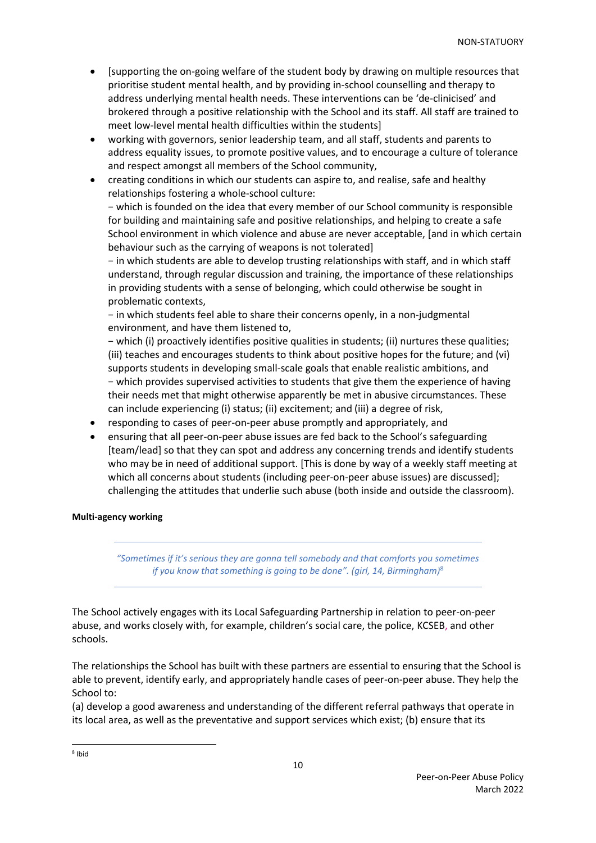- [supporting the on-going welfare of the student body by drawing on multiple resources that prioritise student mental health, and by providing in-school counselling and therapy to address underlying mental health needs. These interventions can be 'de-clinicised' and brokered through a positive relationship with the School and its staff. All staff are trained to meet low-level mental health difficulties within the students]
- working with governors, senior leadership team, and all staff, students and parents to address equality issues, to promote positive values, and to encourage a culture of tolerance and respect amongst all members of the School community,
- creating conditions in which our students can aspire to, and realise, safe and healthy relationships fostering a whole-school culture:

− which is founded on the idea that every member of our School community is responsible for building and maintaining safe and positive relationships, and helping to create a safe School environment in which violence and abuse are never acceptable, [and in which certain behaviour such as the carrying of weapons is not tolerated]

− in which students are able to develop trusting relationships with staff, and in which staff understand, through regular discussion and training, the importance of these relationships in providing students with a sense of belonging, which could otherwise be sought in problematic contexts,

− in which students feel able to share their concerns openly, in a non-judgmental environment, and have them listened to,

− which (i) proactively identifies positive qualities in students; (ii) nurtures these qualities; (iii) teaches and encourages students to think about positive hopes for the future; and (vi) supports students in developing small-scale goals that enable realistic ambitions, and − which provides supervised activities to students that give them the experience of having their needs met that might otherwise apparently be met in abusive circumstances. These can include experiencing (i) status; (ii) excitement; and (iii) a degree of risk,

- responding to cases of peer-on-peer abuse promptly and appropriately, and
- ensuring that all peer-on-peer abuse issues are fed back to the School's safeguarding [team/lead] so that they can spot and address any concerning trends and identify students who may be in need of additional support. [This is done by way of a weekly staff meeting at which all concerns about students (including peer-on-peer abuse issues) are discussed]; challenging the attitudes that underlie such abuse (both inside and outside the classroom).

### <span id="page-9-0"></span>**Multi-agency working**

*"Sometimes if it's serious they are gonna tell somebody and that comforts you sometimes if you know that something is going to be done". (girl, 14, Birmingham)* 8

The School actively engages with its Local Safeguarding Partnership in relation to peer-on-peer abuse, and works closely with, for example, children's social care, the police, KCSEB, and other schools.

The relationships the School has built with these partners are essential to ensuring that the School is able to prevent, identify early, and appropriately handle cases of peer-on-peer abuse. They help the School to:

(a) develop a good awareness and understanding of the different referral pathways that operate in its local area, as well as the preventative and support services which exist; (b) ensure that its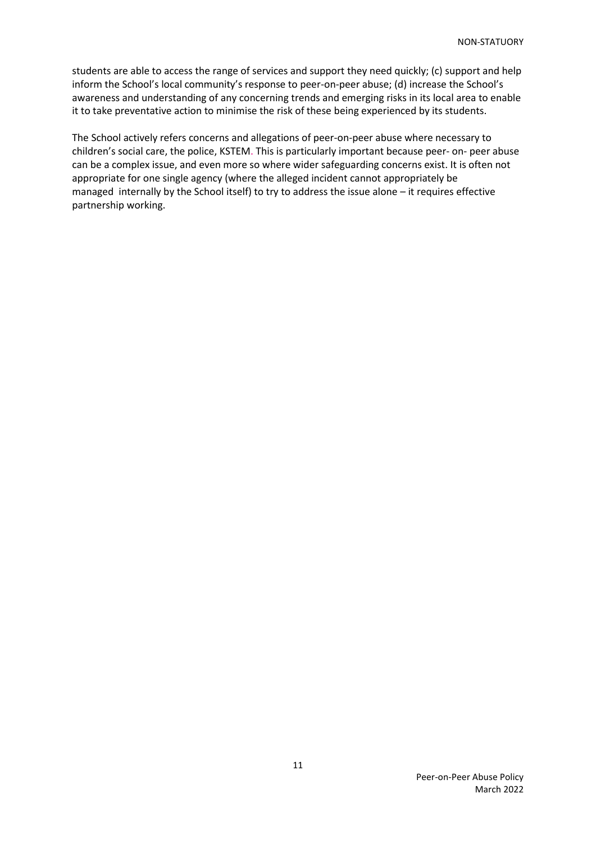students are able to access the range of services and support they need quickly; (c) support and help inform the School's local community's response to peer-on-peer abuse; (d) increase the School's awareness and understanding of any concerning trends and emerging risks in its local area to enable it to take preventative action to minimise the risk of these being experienced by its students.

<span id="page-10-0"></span>The School actively refers concerns and allegations of peer-on-peer abuse where necessary to children's social care, the police, KSTEM. This is particularly important because peer- on- peer abuse can be a complex issue, and even more so where wider safeguarding concerns exist. It is often not appropriate for one single agency (where the alleged incident cannot appropriately be managed internally by the School itself) to try to address the issue alone – it requires effective partnership working.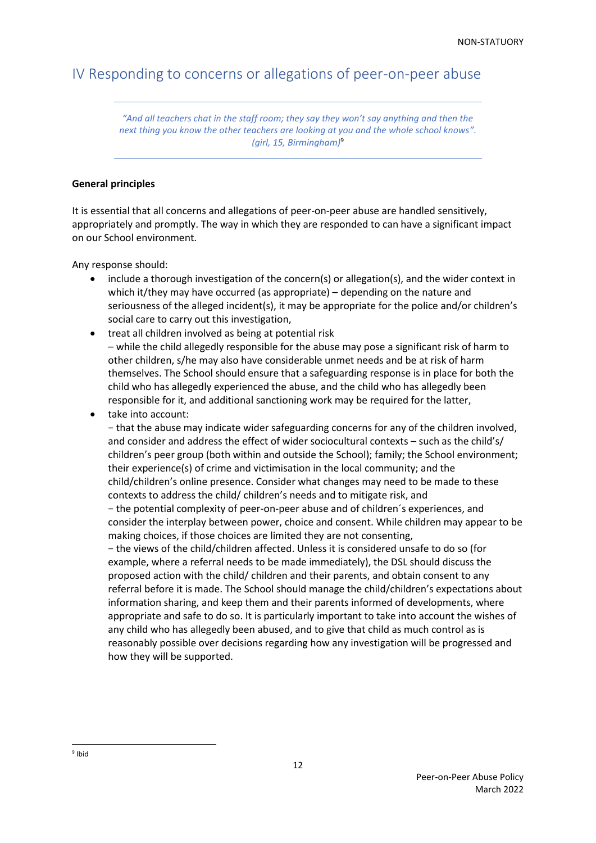# IV Responding to concerns or allegations of peer-on-peer abuse

*"And all teachers chat in the staff room; they say they won't say anything and then the next thing you know the other teachers are looking at you and the whole school knows". (girl, 15, Birmingham)*<sup>9</sup>

### <span id="page-11-0"></span>**General principles**

It is essential that all concerns and allegations of peer-on-peer abuse are handled sensitively, appropriately and promptly. The way in which they are responded to can have a significant impact on our School environment.

Any response should:

- include a thorough investigation of the concern(s) or allegation(s), and the wider context in which it/they may have occurred (as appropriate) – depending on the nature and seriousness of the alleged incident(s), it may be appropriate for the police and/or children's social care to carry out this investigation,
- treat all children involved as being at potential risk – while the child allegedly responsible for the abuse may pose a significant risk of harm to other children, s/he may also have considerable unmet needs and be at risk of harm themselves. The School should ensure that a safeguarding response is in place for both the child who has allegedly experienced the abuse, and the child who has allegedly been responsible for it, and additional sanctioning work may be required for the latter,
- take into account:

− that the abuse may indicate wider safeguarding concerns for any of the children involved, and consider and address the effect of wider sociocultural contexts – such as the child's/ children's peer group (both within and outside the School); family; the School environment; their experience(s) of crime and victimisation in the local community; and the child/children's online presence. Consider what changes may need to be made to these contexts to address the child/ children's needs and to mitigate risk, and

− the potential complexity of peer-on-peer abuse and of children´s experiences, and consider the interplay between power, choice and consent. While children may appear to be making choices, if those choices are limited they are not consenting,

− the views of the child/children affected. Unless it is considered unsafe to do so (for example, where a referral needs to be made immediately), the DSL should discuss the proposed action with the child/ children and their parents, and obtain consent to any referral before it is made. The School should manage the child/children's expectations about information sharing, and keep them and their parents informed of developments, where appropriate and safe to do so. It is particularly important to take into account the wishes of any child who has allegedly been abused, and to give that child as much control as is reasonably possible over decisions regarding how any investigation will be progressed and how they will be supported.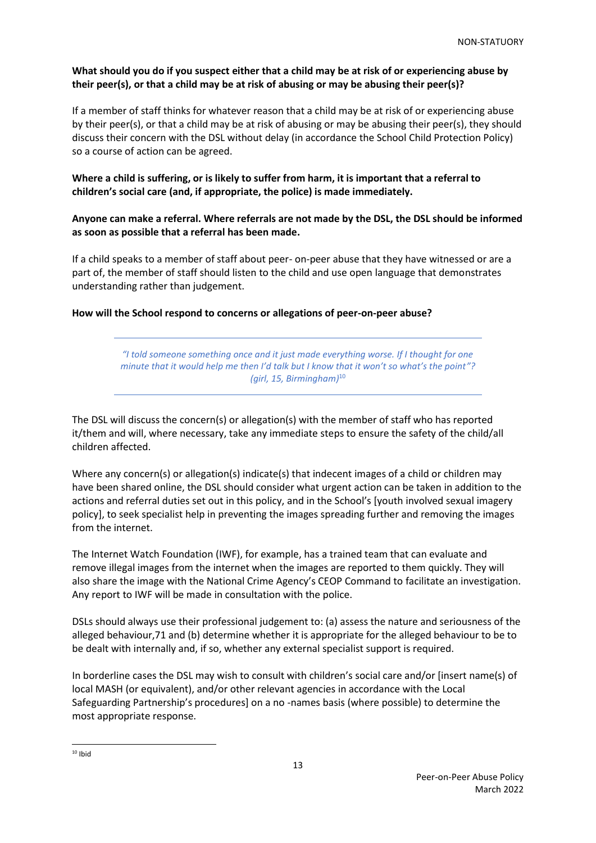## **What should you do if you suspect either that a child may be at risk of or experiencing abuse by their peer(s), or that a child may be at risk of abusing or may be abusing their peer(s)?**

If a member of staff thinks for whatever reason that a child may be at risk of or experiencing abuse by their peer(s), or that a child may be at risk of abusing or may be abusing their peer(s), they should discuss their concern with the DSL without delay (in accordance the School Child Protection Policy) so a course of action can be agreed.

## **Where a child is suffering, or is likely to suffer from harm, it is important that a referral to children's social care (and, if appropriate, the police) is made immediately.**

## **Anyone can make a referral. Where referrals are not made by the DSL, the DSL should be informed as soon as possible that a referral has been made.**

If a child speaks to a member of staff about peer- on-peer abuse that they have witnessed or are a part of, the member of staff should listen to the child and use open language that demonstrates understanding rather than judgement.

## <span id="page-12-0"></span>**How will the School respond to concerns or allegations of peer-on-peer abuse?**

*"I told someone something once and it just made everything worse. If I thought for one minute that it would help me then I'd talk but I know that it won't so what's the point"? (girl, 15, Birmingham)* 10

The DSL will discuss the concern(s) or allegation(s) with the member of staff who has reported it/them and will, where necessary, take any immediate steps to ensure the safety of the child/all children affected.

Where any concern(s) or allegation(s) indicate(s) that indecent images of a child or children may have been shared online, the DSL should consider what urgent action can be taken in addition to the actions and referral duties set out in this policy, and in the School's [youth involved sexual imagery policy], to seek specialist help in preventing the images spreading further and removing the images from the internet.

The Internet Watch Foundation (IWF), for example, has a trained team that can evaluate and remove illegal images from the internet when the images are reported to them quickly. They will also share the image with the National Crime Agency's CEOP Command to facilitate an investigation. Any report to IWF will be made in consultation with the police.

DSLs should always use their professional judgement to: (a) assess the nature and seriousness of the alleged behaviour,71 and (b) determine whether it is appropriate for the alleged behaviour to be to be dealt with internally and, if so, whether any external specialist support is required.

In borderline cases the DSL may wish to consult with children's social care and/or [insert name(s) of local MASH (or equivalent), and/or other relevant agencies in accordance with the Local Safeguarding Partnership's procedures] on a no -names basis (where possible) to determine the most appropriate response.

 $10$  Ibid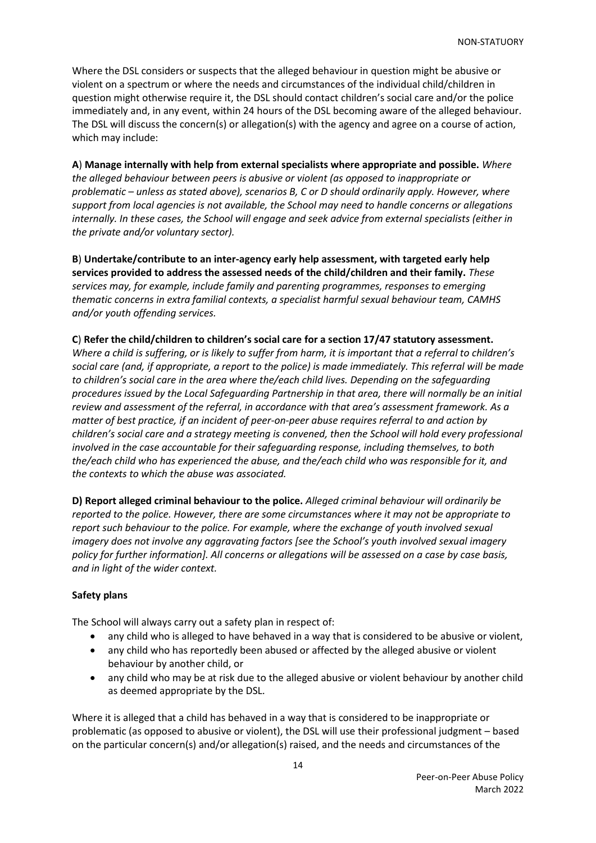Where the DSL considers or suspects that the alleged behaviour in question might be abusive or violent on a spectrum or where the needs and circumstances of the individual child/children in question might otherwise require it, the DSL should contact children's social care and/or the police immediately and, in any event, within 24 hours of the DSL becoming aware of the alleged behaviour. The DSL will discuss the concern(s) or allegation(s) with the agency and agree on a course of action, which may include:

**A**) **Manage internally with help from external specialists where appropriate and possible.** *Where the alleged behaviour between peers is abusive or violent (as opposed to inappropriate or problematic – unless as stated above), scenarios B, C or D should ordinarily apply. However, where support from local agencies is not available, the School may need to handle concerns or allegations internally. In these cases, the School will engage and seek advice from external specialists (either in the private and/or voluntary sector).*

**B**) **Undertake/contribute to an inter-agency early help assessment, with targeted early help services provided to address the assessed needs of the child/children and their family.** *These services may, for example, include family and parenting programmes, responses to emerging thematic concerns in extra familial contexts, a specialist harmful sexual behaviour team, CAMHS and/or youth offending services.*

### **C**) **Refer the child/children to children's social care for a section 17/47 statutory assessment.**

*Where a child is suffering, or is likely to suffer from harm, it is important that a referral to children's social care (and, if appropriate, a report to the police) is made immediately. This referral will be made to children's social care in the area where the/each child lives. Depending on the safeguarding procedures issued by the Local Safeguarding Partnership in that area, there will normally be an initial review and assessment of the referral, in accordance with that area's assessment framework. As a matter of best practice, if an incident of peer-on-peer abuse requires referral to and action by children's social care and a strategy meeting is convened, then the School will hold every professional involved in the case accountable for their safeguarding response, including themselves, to both the/each child who has experienced the abuse, and the/each child who was responsible for it, and the contexts to which the abuse was associated.*

**D) Report alleged criminal behaviour to the police.** *Alleged criminal behaviour will ordinarily be reported to the police. However, there are some circumstances where it may not be appropriate to report such behaviour to the police. For example, where the exchange of youth involved sexual imagery does not involve any aggravating factors [see the School's youth involved sexual imagery policy for further information]. All concerns or allegations will be assessed on a case by case basis, and in light of the wider context.*

#### <span id="page-13-0"></span>**Safety plans**

The School will always carry out a safety plan in respect of:

- any child who is alleged to have behaved in a way that is considered to be abusive or violent,
- any child who has reportedly been abused or affected by the alleged abusive or violent behaviour by another child, or
- any child who may be at risk due to the alleged abusive or violent behaviour by another child as deemed appropriate by the DSL.

Where it is alleged that a child has behaved in a way that is considered to be inappropriate or problematic (as opposed to abusive or violent), the DSL will use their professional judgment – based on the particular concern(s) and/or allegation(s) raised, and the needs and circumstances of the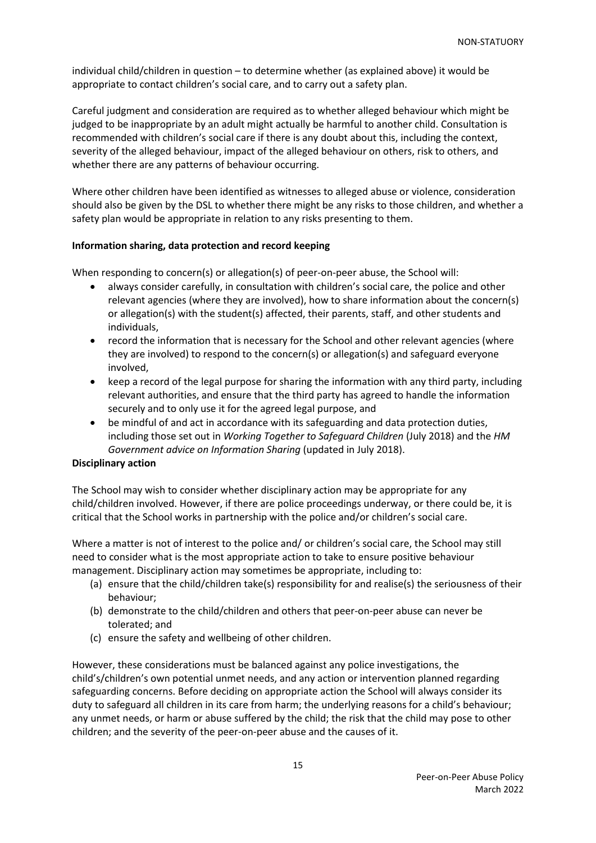individual child/children in question – to determine whether (as explained above) it would be appropriate to contact children's social care, and to carry out a safety plan.

Careful judgment and consideration are required as to whether alleged behaviour which might be judged to be inappropriate by an adult might actually be harmful to another child. Consultation is recommended with children's social care if there is any doubt about this, including the context, severity of the alleged behaviour, impact of the alleged behaviour on others, risk to others, and whether there are any patterns of behaviour occurring.

Where other children have been identified as witnesses to alleged abuse or violence, consideration should also be given by the DSL to whether there might be any risks to those children, and whether a safety plan would be appropriate in relation to any risks presenting to them.

### <span id="page-14-0"></span>**Information sharing, data protection and record keeping**

When responding to concern(s) or allegation(s) of peer-on-peer abuse, the School will:

- always consider carefully, in consultation with children's social care, the police and other relevant agencies (where they are involved), how to share information about the concern(s) or allegation(s) with the student(s) affected, their parents, staff, and other students and individuals,
- record the information that is necessary for the School and other relevant agencies (where they are involved) to respond to the concern(s) or allegation(s) and safeguard everyone involved,
- keep a record of the legal purpose for sharing the information with any third party, including relevant authorities, and ensure that the third party has agreed to handle the information securely and to only use it for the agreed legal purpose, and
- be mindful of and act in accordance with its safeguarding and data protection duties, including those set out in *Working Together to Safeguard Children* (July 2018) and the *HM Government advice on Information Sharing* (updated in July 2018).

#### <span id="page-14-1"></span>**Disciplinary action**

The School may wish to consider whether disciplinary action may be appropriate for any child/children involved. However, if there are police proceedings underway, or there could be, it is critical that the School works in partnership with the police and/or children's social care.

Where a matter is not of interest to the police and/ or children's social care, the School may still need to consider what is the most appropriate action to take to ensure positive behaviour management. Disciplinary action may sometimes be appropriate, including to:

- (a) ensure that the child/children take(s) responsibility for and realise(s) the seriousness of their behaviour;
- (b) demonstrate to the child/children and others that peer-on-peer abuse can never be tolerated; and
- (c) ensure the safety and wellbeing of other children.

However, these considerations must be balanced against any police investigations, the child's/children's own potential unmet needs, and any action or intervention planned regarding safeguarding concerns. Before deciding on appropriate action the School will always consider its duty to safeguard all children in its care from harm; the underlying reasons for a child's behaviour; any unmet needs, or harm or abuse suffered by the child; the risk that the child may pose to other children; and the severity of the peer-on-peer abuse and the causes of it.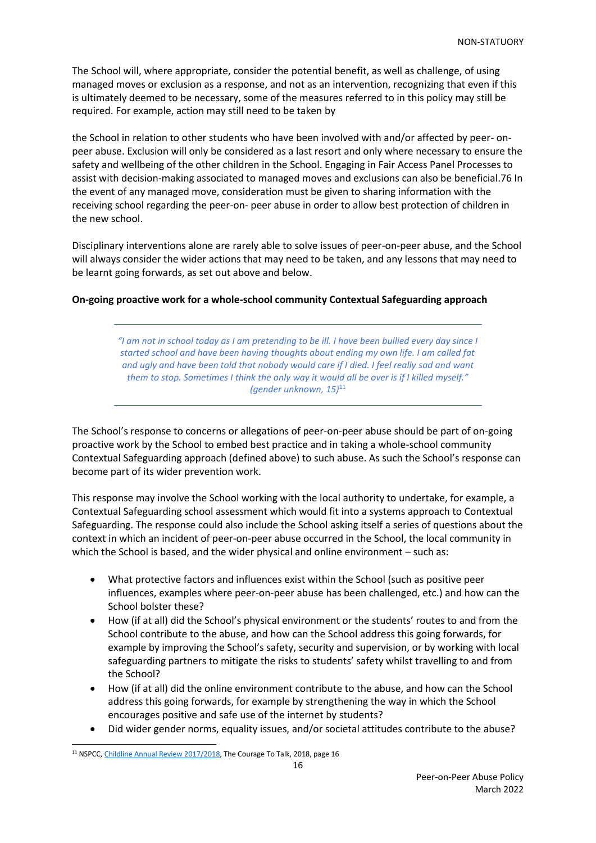The School will, where appropriate, consider the potential benefit, as well as challenge, of using managed moves or exclusion as a response, and not as an intervention, recognizing that even if this is ultimately deemed to be necessary, some of the measures referred to in this policy may still be required. For example, action may still need to be taken by

the School in relation to other students who have been involved with and/or affected by peer- onpeer abuse. Exclusion will only be considered as a last resort and only where necessary to ensure the safety and wellbeing of the other children in the School. Engaging in Fair Access Panel Processes to assist with decision-making associated to managed moves and exclusions can also be beneficial.76 In the event of any managed move, consideration must be given to sharing information with the receiving school regarding the peer-on- peer abuse in order to allow best protection of children in the new school.

Disciplinary interventions alone are rarely able to solve issues of peer-on-peer abuse, and the School will always consider the wider actions that may need to be taken, and any lessons that may need to be learnt going forwards, as set out above and below.

### <span id="page-15-0"></span>**On-going proactive work for a whole-school community Contextual Safeguarding approach**

*"I am not in school today as I am pretending to be ill. I have been bullied every day since I started school and have been having thoughts about ending my own life. I am called fat and ugly and have been told that nobody would care if I died. I feel really sad and want them to stop. Sometimes I think the only way it would all be over is if I killed myself." (gender unknown, 15)*<sup>11</sup>

The School's response to concerns or allegations of peer-on-peer abuse should be part of on-going proactive work by the School to embed best practice and in taking a whole-school community Contextual Safeguarding approach (defined above) to such abuse. As such the School's response can become part of its wider prevention work.

This response may involve the School working with the local authority to undertake, for example, a Contextual Safeguarding school assessment which would fit into a systems approach to Contextual Safeguarding. The response could also include the School asking itself a series of questions about the context in which an incident of peer-on-peer abuse occurred in the School, the local community in which the School is based, and the wider physical and online environment – such as:

- What protective factors and influences exist within the School (such as positive peer influences, examples where peer-on-peer abuse has been challenged, etc.) and how can the School bolster these?
- How (if at all) did the School's physical environment or the students' routes to and from the School contribute to the abuse, and how can the School address this going forwards, for example by improving the School's safety, security and supervision, or by working with local safeguarding partners to mitigate the risks to students' safety whilst travelling to and from the School?
- How (if at all) did the online environment contribute to the abuse, and how can the School address this going forwards, for example by strengthening the way in which the School encourages positive and safe use of the internet by students?
- Did wider gender norms, equality issues, and/or societal attitudes contribute to the abuse?

<sup>&</sup>lt;sup>11</sup> NSPCC[, Childline Annual Review 2017/2018,](https://learning.nspcc.org.uk/media/1596/courage-talk-childline-annual-review-2017-18.pdf) The Courage To Talk, 2018, page 16